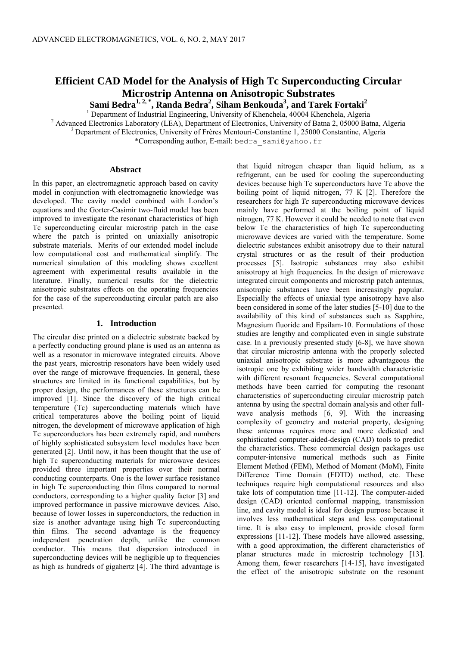# **Efficient CAD Model for the Analysis of High Tc Superconducting Circular Microstrip Antenna on Anisotropic Substrates**

**Sami Bedra<sup>1, 2, \*</sup>, Randa Bedra<sup>2</sup>, Siham Benkouda<sup>3</sup>, and Tarek Fortaki<sup>2</sup><br><sup>1</sup> Department of Industrial Engineering, University of Khenchela, 40004 Khenchela, Algeria** 

<sup>2</sup> Advanced Electronics Laboratory (LEA), Department of Electronics, University of Batna 2, 05000 Batna, Algeria

 $3$  Department of Electronics, University of Frères Mentouri-Constantine 1, 25000 Constantine, Algeria

\*Corresponding author, E-mail: bedra\_sami@yahoo.fr

### **Abstract**

In this paper, an electromagnetic approach based on cavity model in conjunction with electromagnetic knowledge was developed. The cavity model combined with London's equations and the Gorter-Casimir two-fluid model has been improved to investigate the resonant characteristics of high Tc superconducting circular microstrip patch in the case where the patch is printed on uniaxially anisotropic substrate materials. Merits of our extended model include low computational cost and mathematical simplify. The numerical simulation of this modeling shows excellent agreement with experimental results available in the literature. Finally, numerical results for the dielectric anisotropic substrates effects on the operating frequencies for the case of the superconducting circular patch are also presented.

## **1. Introduction**

The circular disc printed on a dielectric substrate backed by a perfectly conducting ground plane is used as an antenna as well as a resonator in microwave integrated circuits. Above the past years, microstrip resonators have been widely used over the range of microwave frequencies. In general, these structures are limited in its functional capabilities, but by proper design, the performances of these structures can be improved [1]. Since the discovery of the high critical temperature (Tc) superconducting materials which have critical temperatures above the boiling point of liquid nitrogen, the development of microwave application of high Tc superconductors has been extremely rapid, and numbers of highly sophisticated subsystem level modules have been generated [2]. Until now, it has been thought that the use of high Tc superconducting materials for microwave devices provided three important properties over their normal conducting counterparts. One is the lower surface resistance in high Tc superconducting thin films compared to normal conductors, corresponding to a higher quality factor [3] and improved performance in passive microwave devices. Also, because of lower losses in superconductors, the reduction in size is another advantage using high Tc superconducting thin films. The second advantage is the frequency independent penetration depth, unlike the common conductor. This means that dispersion introduced in superconducting devices will be negligible up to frequencies as high as hundreds of gigahertz [4]. The third advantage is

that liquid nitrogen cheaper than liquid helium, as a refrigerant, can be used for cooling the superconducting devices because high Tc superconductors have Tc above the boiling point of liquid nitrogen, 77 K [2]. Therefore the researchers for high *Tc* superconducting microwave devices mainly have performed at the boiling point of liquid nitrogen, 77 K. However it could be needed to note that even below Tc the characteristics of high Tc superconducting microwave devices are varied with the temperature. Some dielectric substances exhibit anisotropy due to their natural crystal structures or as the result of their production processes [5]. Isotropic substances may also exhibit anisotropy at high frequencies. In the design of microwave integrated circuit components and microstrip patch antennas, anisotropic substances have been increasingly popular. Especially the effects of uniaxial type anisotropy have also been considered in some of the later studies [5-10] due to the availability of this kind of substances such as Sapphire, Magnesium fluoride and Epsilam-10. Formulations of those studies are lengthy and complicated even in single substrate case. In a previously presented study [6-8], we have shown that circular microstrip antenna with the properly selected uniaxial anisotropic substrate is more advantageous the isotropic one by exhibiting wider bandwidth characteristic with different resonant frequencies. Several computational methods have been carried for computing the resonant characteristics of superconducting circular microstrip patch antenna by using the spectral domain analysis and other fullwave analysis methods [6, 9]. With the increasing complexity of geometry and material property, designing these antennas requires more and more dedicated and sophisticated computer-aided-design (CAD) tools to predict the characteristics. These commercial design packages use computer-intensive numerical methods such as Finite Element Method (FEM), Method of Moment (MoM), Finite Difference Time Domain (FDTD) method, etc. These techniques require high computational resources and also take lots of computation time [11-12]. The computer-aided design (CAD) oriented conformal mapping, transmission line, and cavity model is ideal for design purpose because it involves less mathematical steps and less computational time. It is also easy to implement, provide closed form expressions [11-12]. These models have allowed assessing, with a good approximation, the different characteristics of planar structures made in microstrip technology [13]. Among them, fewer researchers [14-15], have investigated the effect of the anisotropic substrate on the resonant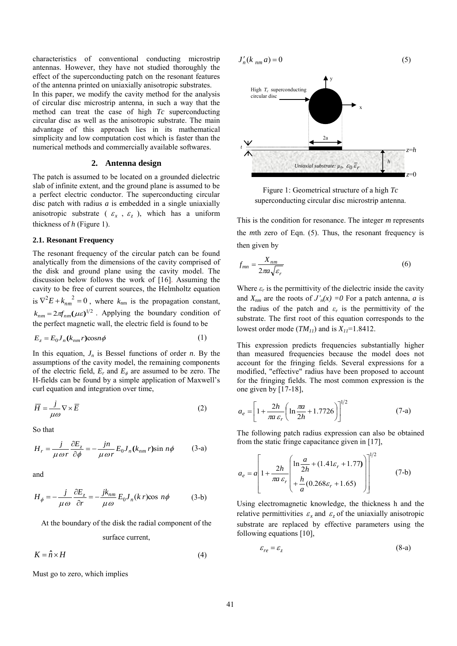characteristics of conventional conducting microstrip antennas. However, they have not studied thoroughly the effect of the superconducting patch on the resonant features of the antenna printed on uniaxially anisotropic substrates.

In this paper, we modify the cavity method for the analysis of circular disc microstrip antenna, in such a way that the method can treat the case of high *Tc* superconducting circular disc as well as the anisotropic substrate. The main advantage of this approach lies in its mathematical simplicity and low computation cost which is faster than the numerical methods and commercially available softwares.

# **2. Antenna design**

The patch is assumed to be located on a grounded dielectric slab of infinite extent, and the ground plane is assumed to be a perfect electric conductor. The superconducting circular disc patch with radius *a* is embedded in a single uniaxially anisotropic substrate ( $\varepsilon_x$ ,  $\varepsilon_z$ ), which has a uniform thickness of *h* (Figure 1).

## **2.1. Resonant Frequency**

The resonant frequency of the circular patch can be found analytically from the dimensions of the cavity comprised of the disk and ground plane using the cavity model. The discussion below follows the work of [16]. Assuming the cavity to be free of current sources, the Helmholtz equation is  $\nabla^2 E + k_{nm}^2^2 = 0$ , where  $k_{nm}$  is the propagation constant,  $k_{nm} = 2\pi f_{nm}(\mu \varepsilon)^{1/2}$ . Applying the boundary condition of the perfect magnetic wall, the electric field is found to be

$$
E_z = E_0 J_n(k_{nm} r) \cos n\phi \tag{1}
$$

In this equation,  $J_n$  is Bessel functions of order *n*. By the assumptions of the cavity model, the remaining components of the electric field,  $E_r$  and  $E_\phi$  are assumed to be zero. The H-fields can be found by a simple application of Maxwell's curl equation and integration over time,

$$
\overline{H} = \frac{j}{\mu \omega} \nabla \times \overline{E}
$$
 (2)

So that

$$
H_r = \frac{j}{\mu \omega r} \frac{\partial E_z}{\partial \phi} = -\frac{j n}{\mu \omega r} E_0 J_n(k_{nm} r) \sin n\phi \qquad (3\text{-a})
$$

and

$$
H_{\phi} = -\frac{j}{\mu \omega} \frac{\partial E_z}{\partial r} = -\frac{j k_{nm}}{\mu \omega} E_0 J_n(k r) \cos n\phi \tag{3-b}
$$

At the boundary of the disk the radial component of the

surface current,

 $K = \hat{n} \times H$ (4)

Must go to zero, which implies

$$
J'_n(k_{nm}a) = 0 \tag{5}
$$



Figure 1: Geometrical structure of a high *Tc*  superconducting circular disc microstrip antenna.

This is the condition for resonance. The integer *m* represents the *m*th zero of Eqn. (5). Thus, the resonant frequency is then given by

$$
f_{mn} = \frac{X_{nm}}{2\pi a \sqrt{\varepsilon_r}}\tag{6}
$$

Where  $\varepsilon_r$  is the permittivity of the dielectric inside the cavity and  $X_{nm}$  are the roots of  $J'_n(x) = 0$  For a patch antenna, *a* is the radius of the patch and  $\varepsilon_r$  is the permittivity of the substrate. The first root of this equation corresponds to the lowest order mode  $(TM_{11})$  and is  $X_{11}$ =1.8412.

This expression predicts frequencies substantially higher than measured frequencies because the model does not account for the fringing fields. Several expressions for a modified, "effective" radius have been proposed to account for the fringing fields. The most common expression is the one given by [17-18],

$$
a_e = \left[1 + \frac{2h}{\pi a \,\varepsilon_r} \left(\ln \frac{\pi a}{2h} + 1.7726\right)\right]^{1/2}
$$
 (7-a)

The following patch radius expression can also be obtained from the static fringe capacitance given in [17],

$$
a_e = a \left[ 1 + \frac{2h}{\pi a \varepsilon_r} \left( \frac{\ln \frac{a}{2h} + (1.41\varepsilon_r + 1.77)}{h} \right) \right]^{1/2}
$$
 (7-b)

Using electromagnetic knowledge, the thickness h and the relative permittivities  $\varepsilon_x$  and  $\varepsilon_z$  of the uniaxially anisotropic substrate are replaced by effective parameters using the following equations [10],

$$
\varepsilon_{re} = \varepsilon_z \tag{8-a}
$$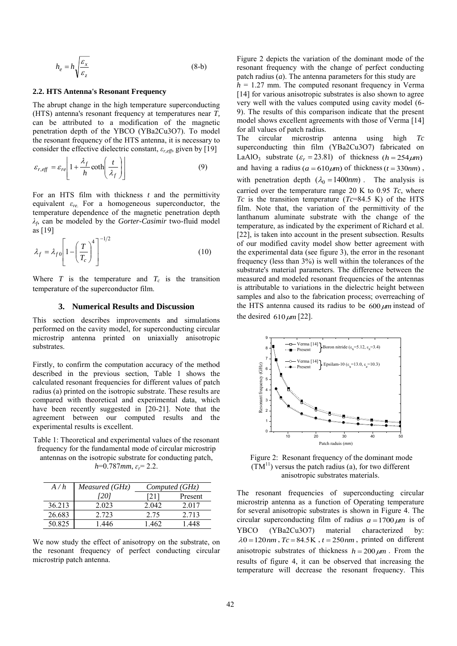$$
h_e = h \sqrt{\frac{\varepsilon_x}{\varepsilon_z}} \tag{8-b}
$$

#### **2.2. HTS Antenna's Resonant Frequency**

The abrupt change in the high temperature superconducting (HTS) antenna's resonant frequency at temperatures near *T,*  can be attributed to a modification of the magnetic penetration depth of the YBCO (YBa2Cu3O7). To model the resonant frequency of the HTS antenna, it is necessary to consider the effective dielectric constant, *εr,eff*, given by [19]

$$
\varepsilon_{r, \text{eff}} = \varepsilon_{re} \left[ 1 + \frac{\lambda_f}{h} \coth\left(\frac{t}{\lambda_f}\right) \right] \tag{9}
$$

For an HTS film with thickness *t* and the permittivity equivalent *εre*. For a homogeneous superconductor, the temperature dependence of the magnetic penetration depth *λf* , can be modeled by the *Gorter-Casimir* two-fluid model as [19]

$$
\lambda_f = \lambda_{f0} \left[ 1 - \left(\frac{T}{T_c}\right)^4 \right]^{-1/2} \tag{10}
$$

Where  $T$  is the temperature and  $T_c$  is the transition temperature of the superconductor film.

## **3. Numerical Results and Discussion**

This section describes improvements and simulations performed on the cavity model, for superconducting circular microstrip antenna printed on uniaxially anisotropic substrates.

Firstly, to confirm the computation accuracy of the method described in the previous section, Table 1 shows the calculated resonant frequencies for different values of patch radius (a) printed on the isotropic substrate. These results are compared with theoretical and experimental data, which have been recently suggested in [20-21]. Note that the agreement between our computed results and the experimental results is excellent.

Table 1: Theoretical and experimental values of the resonant frequency for the fundamental mode of circular microstrip antennas on the isotropic substrate for conducting patch,

*h*=0.787*mm*, *ɛr*= 2.2.

| A/h    | Measured (GHz) | Computed(GHz) |         |
|--------|----------------|---------------|---------|
|        | [20]           |               | Present |
| 36.213 | 2 0 2 3        | 2042          | 2017    |
| 26.683 | 2.723          | 2.75          | 2.713   |
| 50.825 | -446           | 1 462         | -448    |

We now study the effect of anisotropy on the substrate, on the resonant frequency of perfect conducting circular microstrip patch antenna.

Figure 2 depicts the variation of the dominant mode of the resonant frequency with the change of perfect conducting patch radius (*a*). The antenna parameters for this study are  $h = 1.27$  mm. The computed resonant frequency in Verma [14] for various anisotropic substrates is also shown to agree very well with the values computed using cavity model (6- 9). The results of this comparison indicate that the present

model shows excellent agreements with those of Verma [14]

for all values of patch radius. The circular microstrip antenna using high *Tc* superconducting thin film (YBa2Cu3O7) fabricated on LaAlO<sub>3</sub> substrate  $(\varepsilon_r = 23.81)$  of thickness  $(h = 254 \mu m)$ and having a radius  $(a = 610 \mu m)$  of thickness  $(t = 330nm)$ , with penetration depth  $(\lambda_0 = 1400nm)$ . The analysis is carried over the temperature range 20 K to 0.95 *Tc*, where *Tc* is the transition temperature (*Tc*=84.5 K) of the HTS film. Note that, the variation of the permittivity of the lanthanum aluminate substrate with the change of the temperature, as indicated by the experiment of Richard et al. [22], is taken into account in the present subsection. Results of our modified cavity model show better agreement with the experimental data (see figure 3), the error in the resonant frequency (less than 3%) is well within the tolerances of the substrate's material parameters. The difference between the measured and modeled resonant frequencies of the antennas is attributable to variations in the dielectric height between samples and also to the fabrication process; overreaching of the HTS antenna caused its radius to be  $600 \mu m$  instead of the desired  $610 \mu m$  [22].



 Figure 2: Resonant frequency of the dominant mode  $(TM<sup>11</sup>)$  versus the patch radius (a), for two different anisotropic substrates materials.

The resonant frequencies of superconducting circular microstrip antenna as a function of Operating temperature for several anisotropic substrates is shown in Figure 4. The circular superconducting film of radius  $a = 1700 \mu m$  is of YBCO (YBa2Cu3O7) material characterized by:  $\lambda 0 = 120$  nm,  $Tc = 84.5$  K,  $t = 250$  nm, printed on different anisotropic substrates of thickness  $h = 200 \mu m$ . From the results of figure 4, it can be observed that increasing the temperature will decrease the resonant frequency. This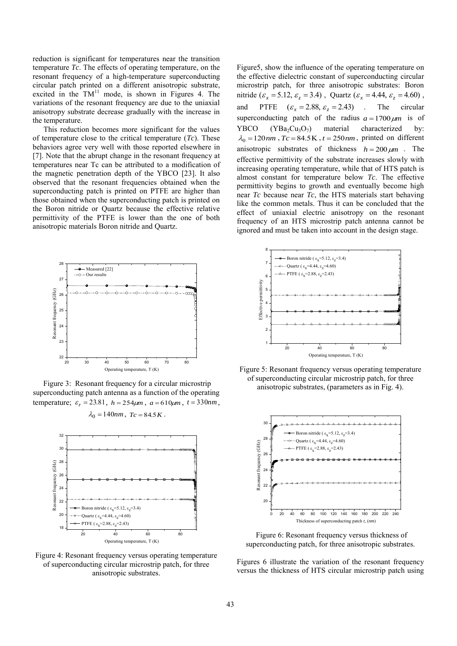reduction is significant for temperatures near the transition temperature *Tc*. The effects of operating temperature, on the resonant frequency of a high-temperature superconducting circular patch printed on a different anisotropic substrate, excited in the  $TM<sup>11</sup>$  mode, is shown in Figures 4. The variations of the resonant frequency are due to the uniaxial anisotropy substrate decrease gradually with the increase in the temperature.

This reduction becomes more significant for the values of temperature close to the critical temperature (*Tc*). These behaviors agree very well with those reported elsewhere in [7]. Note that the abrupt change in the resonant frequency at temperatures near Tc can be attributed to a modification of the magnetic penetration depth of the YBCO [23]. It also observed that the resonant frequencies obtained when the superconducting patch is printed on PTFE are higher than those obtained when the superconducting patch is printed on the Boron nitride or Quartz because the effective relative permittivity of the PTFE is lower than the one of both anisotropic materials Boron nitride and Quartz.



 Figure 3: Resonant frequency for a circular microstrip superconducting patch antenna as a function of the operating temperature;  $\varepsilon_r = 23.81$ ,  $h = 254 \mu m$ ,  $a = 610 \mu m$ ,  $t = 330nm$ ,  $\lambda_0 = 140nm$ ,  $T_c = 84.5K$ .



Figure 4: Resonant frequency versus operating temperature of superconducting circular microstrip patch, for three anisotropic substrates.

Figure5, show the influence of the operating temperature on the effective dielectric constant of superconducting circular microstrip patch, for three anisotropic substrates: Boron nitride ( $\varepsilon_x = 5.12$ ,  $\varepsilon_z = 3.4$ ), Quartz ( $\varepsilon_x = 4.44$ ,  $\varepsilon_z = 4.60$ ), and PTFE  $(\varepsilon_x = 2.88, \varepsilon_z = 2.43)$  *x* The circular superconducting patch of the radius  $a = 1700 \mu m$  is of YBCO (YBa<sub>2</sub>Cu<sub>3</sub>O<sub>7</sub>) material characterized by:  $\lambda_0 = 120 \text{ nm}$ ,  $Tc = 84.5 \text{ K}$ ,  $t = 250 \text{ nm}$ , printed on different anisotropic substrates of thickness  $h = 200 \mu m$ . The effective permittivity of the substrate increases slowly with increasing operating temperature, while that of HTS patch is almost constant for temperature below *Tc*. The effective permittivity begins to growth and eventually become high near *Tc* because near *Tc*, the HTS materials start behaving like the common metals. Thus it can be concluded that the effect of uniaxial electric anisotropy on the resonant frequency of an HTS microstrip patch antenna cannot be ignored and must be taken into account in the design stage.







 Figure 6: Resonant frequency versus thickness of superconducting patch, for three anisotropic substrates.

Figures 6 illustrate the variation of the resonant frequency versus the thickness of HTS circular microstrip patch using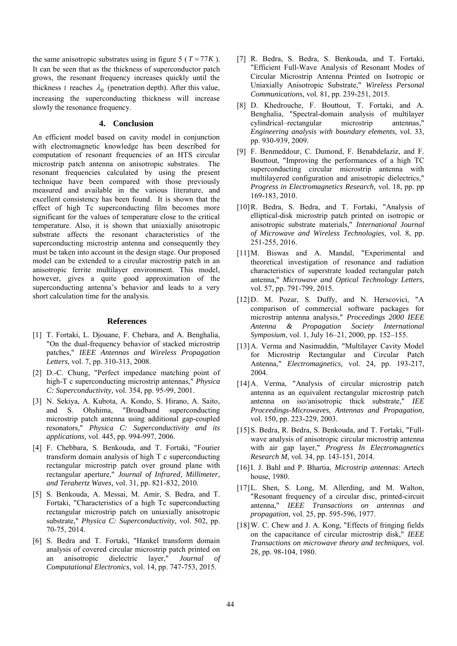the same anisotropic substrates using in figure  $5 (T = 77K)$ . It can be seen that as the thickness of superconductor patch grows, the resonant frequency increases quickly until the thickness *t* reaches  $\lambda_0$  (penetration depth). After this value, increasing the superconducting thickness will increase slowly the resonance frequency.

## **4. Conclusion**

An efficient model based on cavity model in conjunction with electromagnetic knowledge has been described for computation of resonant frequencies of an HTS circular microstrip patch antenna on anisotropic substrates. The resonant frequencies calculated by using the present technique have been compared with those previously measured and available in the various literature, and excellent consistency has been found. It is shown that the effect of high Tc superconducting film becomes more significant for the values of temperature close to the critical temperature. Also, it is shown that uniaxially anisotropic substrate affects the resonant characteristics of the superconducting microstrip antenna and consequently they must be taken into account in the design stage. Our proposed model can be extended to a circular microstrip patch in an anisotropic ferrite multilayer environment. This model, however, gives a quite good approximation of the superconducting antenna's behavior and leads to a very short calculation time for the analysis.

#### **References**

- [1] T. Fortaki, L. Djouane, F. Chebara, and A. Benghalia, "On the dual-frequency behavior of stacked microstrip patches," *IEEE Antennas and Wireless Propagation Letters,* vol. 7, pp. 310-313, 2008.
- [2] D.-C. Chung, "Perfect impedance matching point of high-T c superconducting microstrip antennas," *Physica C: Superconductivity,* vol. 354, pp. 95-99, 2001.
- [3] N. Sekiya, A. Kubota, A. Kondo, S. Hirano, A. Saito, and S. Ohshima, "Broadband superconducting microstrip patch antenna using additional gap-coupled resonators," *Physica C: Superconductivity and its applications,* vol. 445, pp. 994-997, 2006.
- [4] F. Chebbara, S. Benkouda, and T. Fortaki, "Fourier transform domain analysis of high T c superconducting rectangular microstrip patch over ground plane with rectangular aperture," *Journal of Infrared, Millimeter, and Terahertz Waves,* vol. 31, pp. 821-832, 2010.
- [5] S. Benkouda, A. Messai, M. Amir, S. Bedra, and T. Fortaki, "Characteristics of a high Tc superconducting rectangular microstrip patch on uniaxially anisotropic substrate," *Physica C: Superconductivity,* vol. 502, pp. 70-75, 2014.
- [6] S. Bedra and T. Fortaki, "Hankel transform domain analysis of covered circular microstrip patch printed on an anisotropic dielectric layer," *Journal of Computational Electronics,* vol. 14, pp. 747-753, 2015.
- [7] R. Bedra, S. Bedra, S. Benkouda, and T. Fortaki, "Efficient Full-Wave Analysis of Resonant Modes of Circular Microstrip Antenna Printed on Isotropic or Uniaxially Anisotropic Substrate," *Wireless Personal Communications,* vol. 81, pp. 239-251, 2015.
- [8] D. Khedrouche, F. Bouttout, T. Fortaki, and A. Benghalia, "Spectral-domain analysis of multilayer cylindrical–rectangular microstrip antennas," *Engineering analysis with boundary elements,* vol. 33, pp. 930-939, 2009.
- [9] F. Benmeddour, C. Dumond, F. Benabdelaziz, and F. Bouttout, "Improving the performances of a high TC superconducting circular microstrip antenna with multilayered configuration and anisotropic dielectrics," *Progress in Electromagnetics Research,* vol. 18, pp. pp 169-183, 2010.
- [10]R. Bedra, S. Bedra, and T. Fortaki, "Analysis of elliptical-disk microstrip patch printed on isotropic or anisotropic substrate materials," *International Journal of Microwave and Wireless Technologies,* vol. 8, pp. 251-255, 2016.
- [11]M. Biswas and A. Mandal, "Experimental and theoretical investigation of resonance and radiation characteristics of superstrate loaded rectangular patch antenna," *Microwave and Optical Technology Letters,*  vol. 57, pp. 791-799, 2015.
- [12]D. M. Pozar, S. Duffy, and N. Herscovici, "A comparison of commercial software packages for microstrip antenna analysis," *Proceedings 2000 IEEE Antenna & Propagation Society International Symposium*, vol. 1, July 16–21, 2000, pp. 152–155.
- [13]A. Verma and Nasimuddin, "Multilayer Cavity Model for Microstrip Rectangular and Circular Patch Antenna," *Electromagnetics,* vol. 24, pp. 193-217, 2004.
- [14] A. Verma, "Analysis of circular microstrip patch antenna as an equivalent rectangular microstrip patch antenna on iso/anisotropic thick substrate," *IEE Proceedings-Microwaves, Antennas and Propagation,*  vol. 150, pp. 223-229, 2003.
- [15]S. Bedra, R. Bedra, S. Benkouda, and T. Fortaki, "Fullwave analysis of anisotropic circular microstrip antenna with air gap layer," *Progress In Electromagnetics Research M,* vol. 34, pp. 143-151, 2014.
- [16]I. J. Bahl and P. Bhartia, *Microstrip antennas*: Artech house, 1980.
- [17]L. Shen, S. Long, M. Allerding, and M. Walton, "Resonant frequency of a circular disc, printed-circuit antenna," *IEEE Transactions on antennas and propagation,* vol. 25, pp. 595-596, 1977.
- [18]W. C. Chew and J. A. Kong, "Effects of fringing fields on the capacitance of circular microstrip disk," *IEEE Transactions on microwave theory and techniques,* vol. 28, pp. 98-104, 1980.